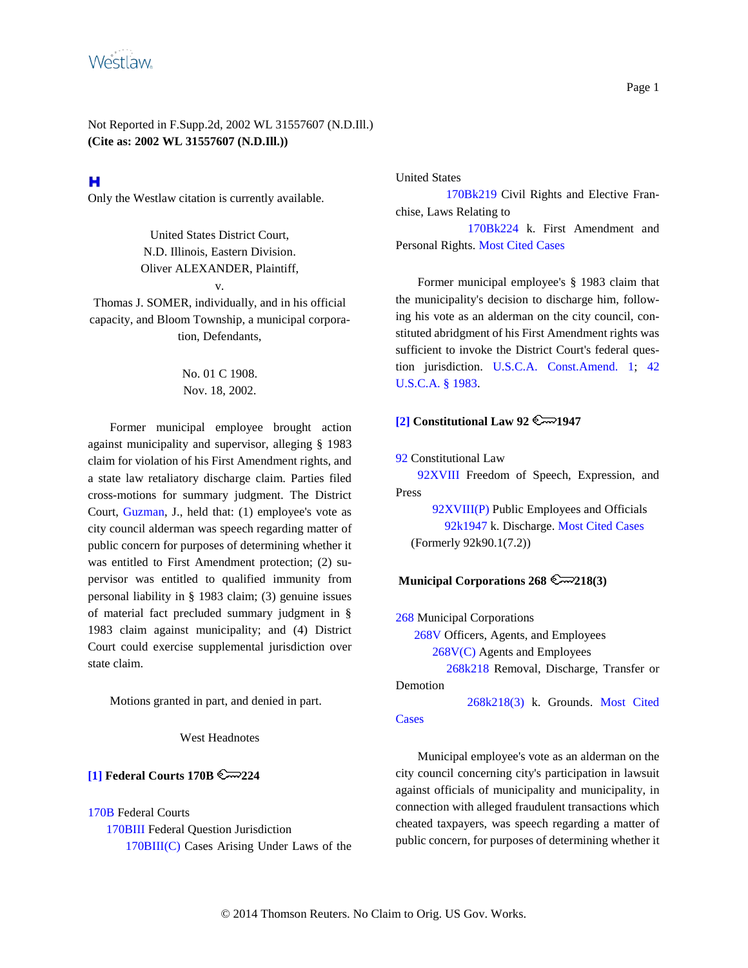

# н

Only the Westlaw citation is currently available.

United States District Court, N.D. Illinois, Eastern Division. Oliver ALEXANDER, Plaintiff,

v.

Thomas J. SOMER, individually, and in his official capacity, and Bloom Township, a municipal corporation, Defendants,

## No. 01 C 1908. Nov. 18, 2002.

Former municipal employee brought action against municipality and supervisor, alleging § 1983 claim for violation of his First Amendment rights, and a state law retaliatory discharge claim. Parties filed cross-motions for summary judgment. The District Court, Guzman, J., held that: (1) employee's vote as city council alderman was speech regarding matter of public concern for purposes of determining whether it was entitled to First Amendment protection; (2) supervisor was entitled to qualified immunity from personal liability in § 1983 claim; (3) genuine issues of material fact precluded summary judgment in § 1983 claim against municipality; and (4) District Court could exercise supplemental jurisdiction over state claim.

Motions granted in part, and denied in part.

West Headnotes

### <span id="page-0-0"></span>**[\[1\]](#page-4-0) Federal Courts 170B 224**

170B Federal Courts

170BIII Federal Question Jurisdiction 170BIII(C) Cases Arising Under Laws of the United States

170Bk219 Civil Rights and Elective Franchise, Laws Relating to

170Bk224 k. First Amendment and Personal Rights. Most Cited Cases

Former municipal employee's § 1983 claim that the municipality's decision to discharge him, following his vote as an alderman on the city council, constituted abridgment of his First Amendment rights was sufficient to invoke the District Court's federal question jurisdiction. U.S.C.A. Const.Amend. 1; 42 U.S.C.A. § 1983.

# <span id="page-0-1"></span> $\boxed{2}$  **Constitutional Law 92**  $\approx$  1947

92 Constitutional Law

92XVIII Freedom of Speech, Expression, and Press

92XVIII(P) Public Employees and Officials 92k1947 k. Discharge. Most Cited Cases (Formerly 92k90.1(7.2))

#### **Municipal Corporations 268 2218(3)**

268 Municipal Corporations 268V Officers, Agents, and Employees 268V(C) Agents and Employees 268k218 Removal, Discharge, Transfer or

Demotion

268k218(3) k. Grounds. Most Cited **Cases** 

Municipal employee's vote as an alderman on the city council concerning city's participation in lawsuit against officials of municipality and municipality, in connection with alleged fraudulent transactions which cheated taxpayers, was speech regarding a matter of public concern, for purposes of determining whether it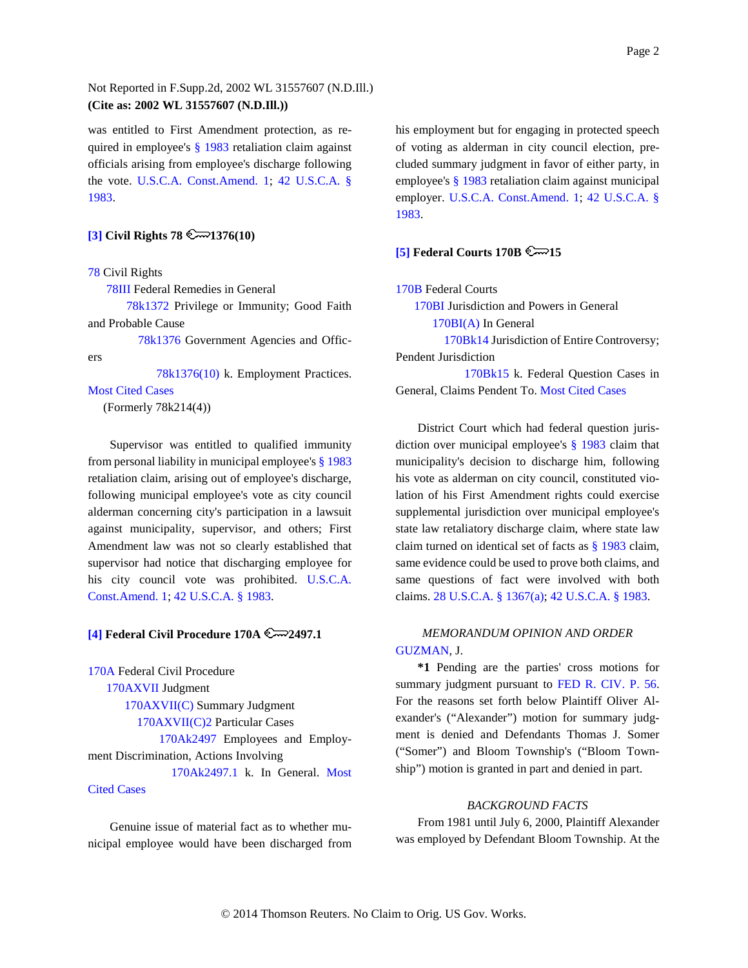was entitled to First Amendment protection, as required in employee's § 1983 retaliation claim against officials arising from employee's discharge following the vote. U.S.C.A. Const.Amend. 1; 42 U.S.C.A. § 1983.

### <span id="page-1-0"></span>**[\[3\]](#page-7-0) Civil Rights 78 2 1376(10)**

#### 78 Civil Rights

78III Federal Remedies in General

78k1372 Privilege or Immunity; Good Faith and Probable Cause

78k1376 Government Agencies and Officers

78k1376(10) k. Employment Practices.

#### Most Cited Cases

(Formerly 78k214(4))

Supervisor was entitled to qualified immunity from personal liability in municipal employee's § 1983 retaliation claim, arising out of employee's discharge, following municipal employee's vote as city council alderman concerning city's participation in a lawsuit against municipality, supervisor, and others; First Amendment law was not so clearly established that supervisor had notice that discharging employee for his city council vote was prohibited. U.S.C.A. Const.Amend. 1; 42 U.S.C.A. § 1983.

### <span id="page-1-1"></span>**[\[4\]](#page-8-0) Federal Civil Procedure 170A 2497.1**

170A Federal Civil Procedure 170AXVII Judgment 170AXVII(C) Summary Judgment 170AXVII(C)2 Particular Cases 170Ak2497 Employees and Employment Discrimination, Actions Involving 170Ak2497.1 k. In General. Most

### Cited Cases

Genuine issue of material fact as to whether municipal employee would have been discharged from his employment but for engaging in protected speech of voting as alderman in city council election, precluded summary judgment in favor of either party, in employee's § 1983 retaliation claim against municipal employer. U.S.C.A. Const.Amend. 1; 42 U.S.C.A. § 1983.

#### <span id="page-1-2"></span>**[\[5\]](#page-9-0) Federal Courts 170B**  $\approx$  **15**

170B Federal Courts

170BI Jurisdiction and Powers in General 170BI(A) In General

170Bk14 Jurisdiction of Entire Controversy; Pendent Jurisdiction

170Bk15 k. Federal Question Cases in General, Claims Pendent To. Most Cited Cases

District Court which had federal question jurisdiction over municipal employee's § 1983 claim that municipality's decision to discharge him, following his vote as alderman on city council, constituted violation of his First Amendment rights could exercise supplemental jurisdiction over municipal employee's state law retaliatory discharge claim, where state law claim turned on identical set of facts as § 1983 claim, same evidence could be used to prove both claims, and same questions of fact were involved with both claims. 28 U.S.C.A. § 1367(a); 42 U.S.C.A. § 1983.

## *MEMORANDUM OPINION AND ORDER* GUZMAN, J.

**\*1** Pending are the parties' cross motions for summary judgment pursuant to FED R. CIV. P. 56. For the reasons set forth below Plaintiff Oliver Alexander's ("Alexander") motion for summary judgment is denied and Defendants Thomas J. Somer ("Somer") and Bloom Township's ("Bloom Township") motion is granted in part and denied in part.

#### *BACKGROUND FACTS*

From 1981 until July 6, 2000, Plaintiff Alexander was employed by Defendant Bloom Township. At the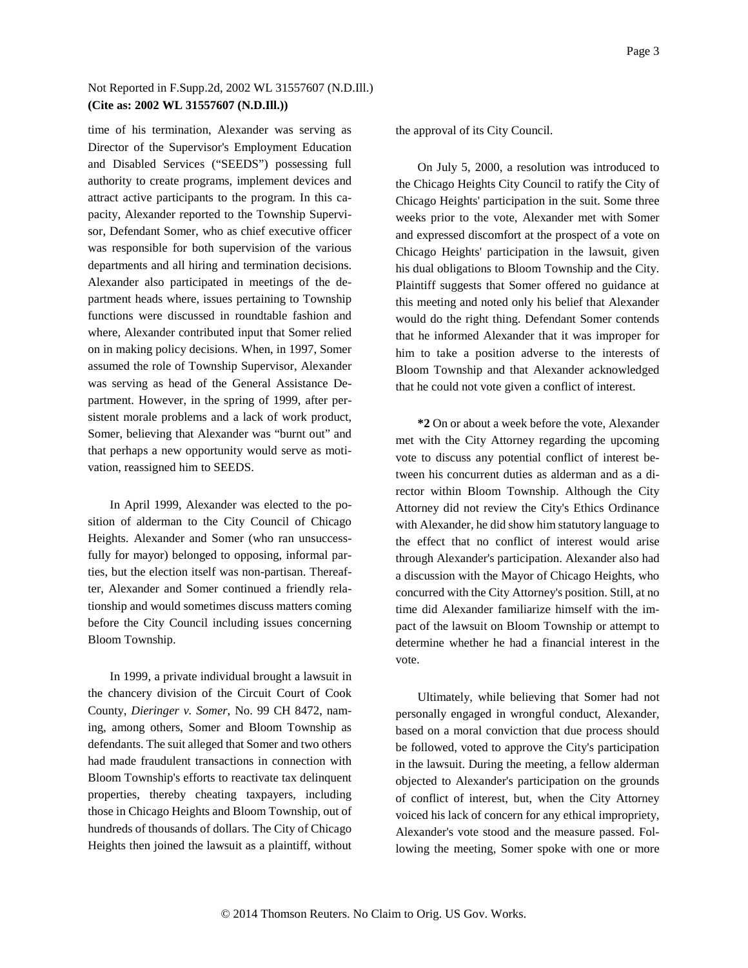time of his termination, Alexander was serving as Director of the Supervisor's Employment Education and Disabled Services ("SEEDS") possessing full authority to create programs, implement devices and attract active participants to the program. In this capacity, Alexander reported to the Township Supervisor, Defendant Somer, who as chief executive officer was responsible for both supervision of the various departments and all hiring and termination decisions. Alexander also participated in meetings of the department heads where, issues pertaining to Township functions were discussed in roundtable fashion and where, Alexander contributed input that Somer relied on in making policy decisions. When, in 1997, Somer assumed the role of Township Supervisor, Alexander was serving as head of the General Assistance Department. However, in the spring of 1999, after persistent morale problems and a lack of work product, Somer, believing that Alexander was "burnt out" and that perhaps a new opportunity would serve as motivation, reassigned him to SEEDS.

In April 1999, Alexander was elected to the position of alderman to the City Council of Chicago Heights. Alexander and Somer (who ran unsuccessfully for mayor) belonged to opposing, informal parties, but the election itself was non-partisan. Thereafter, Alexander and Somer continued a friendly relationship and would sometimes discuss matters coming before the City Council including issues concerning Bloom Township.

In 1999, a private individual brought a lawsuit in the chancery division of the Circuit Court of Cook County, *Dieringer v. Somer,* No. 99 CH 8472, naming, among others, Somer and Bloom Township as defendants. The suit alleged that Somer and two others had made fraudulent transactions in connection with Bloom Township's efforts to reactivate tax delinquent properties, thereby cheating taxpayers, including those in Chicago Heights and Bloom Township, out of hundreds of thousands of dollars. The City of Chicago Heights then joined the lawsuit as a plaintiff, without the approval of its City Council.

On July 5, 2000, a resolution was introduced to the Chicago Heights City Council to ratify the City of Chicago Heights' participation in the suit. Some three weeks prior to the vote, Alexander met with Somer and expressed discomfort at the prospect of a vote on Chicago Heights' participation in the lawsuit, given his dual obligations to Bloom Township and the City. Plaintiff suggests that Somer offered no guidance at this meeting and noted only his belief that Alexander would do the right thing. Defendant Somer contends that he informed Alexander that it was improper for him to take a position adverse to the interests of Bloom Township and that Alexander acknowledged that he could not vote given a conflict of interest.

**\*2** On or about a week before the vote, Alexander met with the City Attorney regarding the upcoming vote to discuss any potential conflict of interest between his concurrent duties as alderman and as a director within Bloom Township. Although the City Attorney did not review the City's Ethics Ordinance with Alexander, he did show him statutory language to the effect that no conflict of interest would arise through Alexander's participation. Alexander also had a discussion with the Mayor of Chicago Heights, who concurred with the City Attorney's position. Still, at no time did Alexander familiarize himself with the impact of the lawsuit on Bloom Township or attempt to determine whether he had a financial interest in the vote.

Ultimately, while believing that Somer had not personally engaged in wrongful conduct, Alexander, based on a moral conviction that due process should be followed, voted to approve the City's participation in the lawsuit. During the meeting, a fellow alderman objected to Alexander's participation on the grounds of conflict of interest, but, when the City Attorney voiced his lack of concern for any ethical impropriety, Alexander's vote stood and the measure passed. Following the meeting, Somer spoke with one or more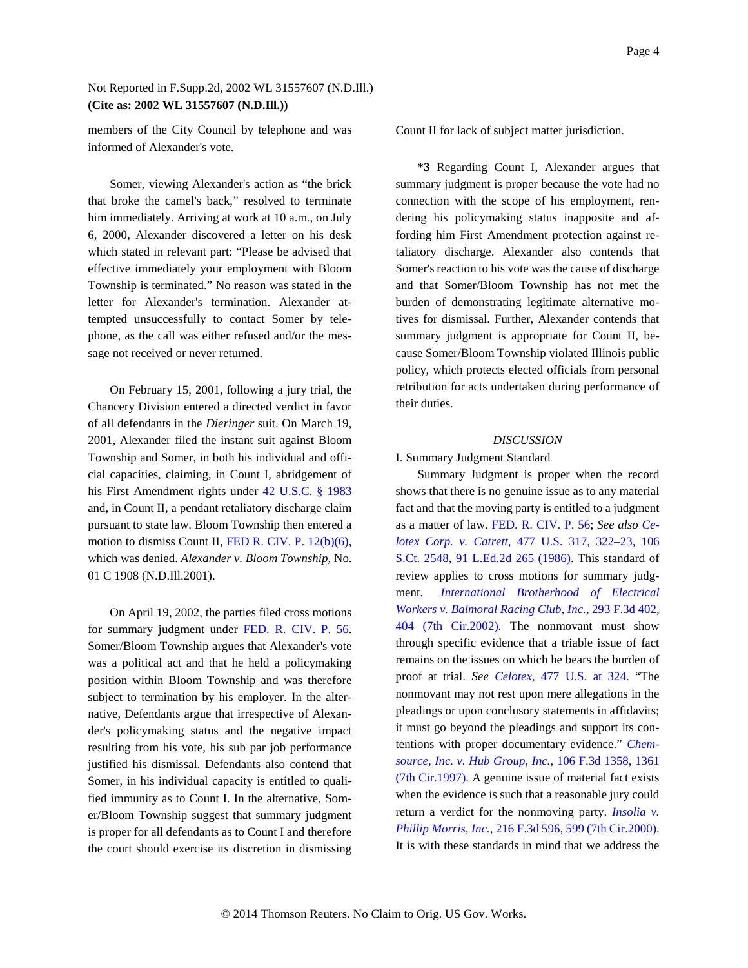members of the City Council by telephone and was informed of Alexander's vote.

Somer, viewing Alexander's action as "the brick that broke the camel's back," resolved to terminate him immediately. Arriving at work at 10 a.m., on July 6, 2000, Alexander discovered a letter on his desk which stated in relevant part: "Please be advised that effective immediately your employment with Bloom Township is terminated." No reason was stated in the letter for Alexander's termination. Alexander attempted unsuccessfully to contact Somer by telephone, as the call was either refused and/or the message not received or never returned.

On February 15, 2001, following a jury trial, the Chancery Division entered a directed verdict in favor of all defendants in the *Dieringer* suit. On March 19, 2001, Alexander filed the instant suit against Bloom Township and Somer, in both his individual and official capacities, claiming, in Count I, abridgement of his First Amendment rights under 42 U.S.C. § 1983 and, in Count II, a pendant retaliatory discharge claim pursuant to state law. Bloom Township then entered a motion to dismiss Count II, FED R. CIV. P. 12(b)(6), which was denied. *Alexander v. Bloom Township,* No. 01 C 1908 (N.D.Ill.2001).

On April 19, 2002, the parties filed cross motions for summary judgment under FED. R. CIV. P. 56. Somer/Bloom Township argues that Alexander's vote was a political act and that he held a policymaking position within Bloom Township and was therefore subject to termination by his employer. In the alternative, Defendants argue that irrespective of Alexander's policymaking status and the negative impact resulting from his vote, his sub par job performance justified his dismissal. Defendants also contend that Somer, in his individual capacity is entitled to qualified immunity as to Count I. In the alternative, Somer/Bloom Township suggest that summary judgment is proper for all defendants as to Count I and therefore the court should exercise its discretion in dismissing

Count II for lack of subject matter jurisdiction.

**\*3** Regarding Count I, Alexander argues that summary judgment is proper because the vote had no connection with the scope of his employment, rendering his policymaking status inapposite and affording him First Amendment protection against retaliatory discharge. Alexander also contends that Somer's reaction to his vote was the cause of discharge and that Somer/Bloom Township has not met the burden of demonstrating legitimate alternative motives for dismissal. Further, Alexander contends that summary judgment is appropriate for Count II, because Somer/Bloom Township violated Illinois public policy, which protects elected officials from personal retribution for acts undertaken during performance of their duties.

#### *DISCUSSION*

I. Summary Judgment Standard

Summary Judgment is proper when the record shows that there is no genuine issue as to any material fact and that the moving party is entitled to a judgment as a matter of law. FED. R. CIV. P. 56; *See also Celotex Corp. v. Catrett,* 477 U.S. 317, 322–23, 106 S.Ct. 2548, 91 L.Ed.2d 265 (1986). This standard of review applies to cross motions for summary judgment. *International Brotherhood of Electrical Workers v. Balmoral Racing Club, Inc.,* 293 F.3d 402, 404 (7th Cir.2002). The nonmovant must show through specific evidence that a triable issue of fact remains on the issues on which he bears the burden of proof at trial. *See Celotex,* 477 U.S. at 324. "The nonmovant may not rest upon mere allegations in the pleadings or upon conclusory statements in affidavits; it must go beyond the pleadings and support its contentions with proper documentary evidence." *Chemsource, Inc. v. Hub Group, Inc.,* 106 F.3d 1358, 1361 (7th Cir.1997). A genuine issue of material fact exists when the evidence is such that a reasonable jury could return a verdict for the nonmoving party. *Insolia v. Phillip Morris, Inc.,* 216 F.3d 596, 599 (7th Cir.2000). It is with these standards in mind that we address the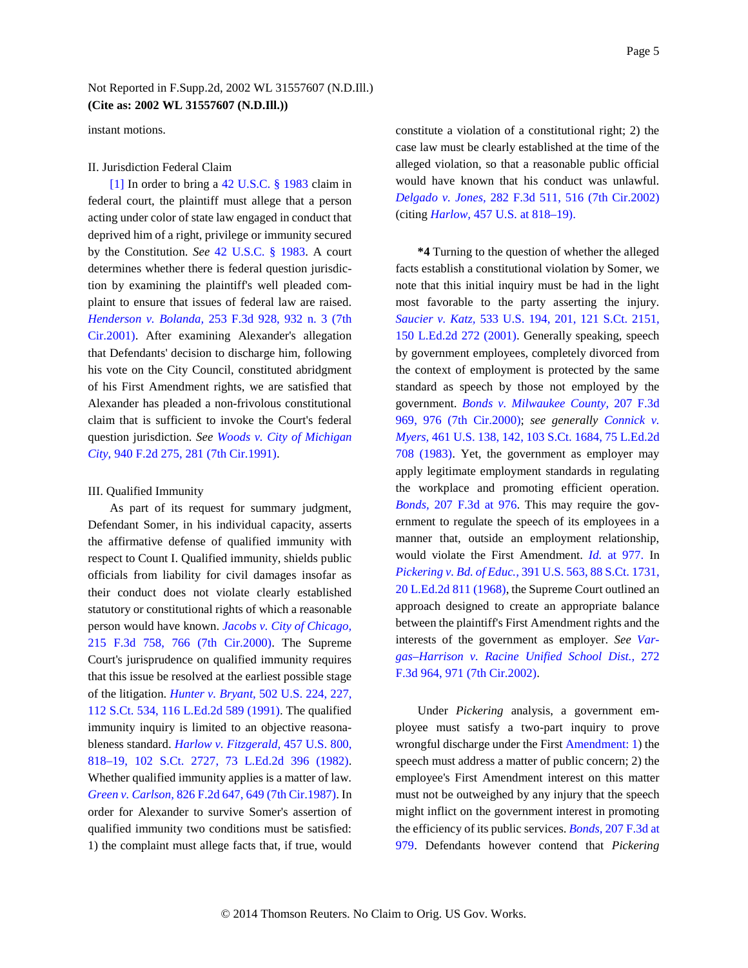instant motions.

#### II. Jurisdiction Federal Claim

<span id="page-4-0"></span>[\[1\]](#page-0-0) In order to bring a 42 U.S.C. § 1983 claim in federal court, the plaintiff must allege that a person acting under color of state law engaged in conduct that deprived him of a right, privilege or immunity secured by the Constitution. *See* 42 U.S.C. § 1983. A court determines whether there is federal question jurisdiction by examining the plaintiff's well pleaded complaint to ensure that issues of federal law are raised. *Henderson v. Bolanda,* 253 F.3d 928, 932 n. 3 (7th Cir.2001). After examining Alexander's allegation that Defendants' decision to discharge him, following his vote on the City Council, constituted abridgment of his First Amendment rights, we are satisfied that Alexander has pleaded a non-frivolous constitutional claim that is sufficient to invoke the Court's federal question jurisdiction. *See Woods v. City of Michigan City,* 940 F.2d 275, 281 (7th Cir.1991).

#### III. Qualified Immunity

As part of its request for summary judgment, Defendant Somer, in his individual capacity, asserts the affirmative defense of qualified immunity with respect to Count I. Qualified immunity, shields public officials from liability for civil damages insofar as their conduct does not violate clearly established statutory or constitutional rights of which a reasonable person would have known. *Jacobs v. City of Chicago,* 215 F.3d 758, 766 (7th Cir.2000). The Supreme Court's jurisprudence on qualified immunity requires that this issue be resolved at the earliest possible stage of the litigation. *Hunter v. Bryant,* 502 U.S. 224, 227, 112 S.Ct. 534, 116 L.Ed.2d 589 (1991). The qualified immunity inquiry is limited to an objective reasonableness standard. *Harlow v. Fitzgerald,* 457 U.S. 800, 818–19, 102 S.Ct. 2727, 73 L.Ed.2d 396 (1982). Whether qualified immunity applies is a matter of law. *Green v. Carlson,* 826 F.2d 647, 649 (7th Cir.1987). In order for Alexander to survive Somer's assertion of qualified immunity two conditions must be satisfied: 1) the complaint must allege facts that, if true, would constitute a violation of a constitutional right; 2) the case law must be clearly established at the time of the alleged violation, so that a reasonable public official would have known that his conduct was unlawful. *Delgado v. Jones,* 282 F.3d 511, 516 (7th Cir.2002) (citing *Harlow,* 457 U.S. at 818–19).

**\*4** Turning to the question of whether the alleged facts establish a constitutional violation by Somer, we note that this initial inquiry must be had in the light most favorable to the party asserting the injury. *Saucier v. Katz,* 533 U.S. 194, 201, 121 S.Ct. 2151, 150 L.Ed.2d 272 (2001). Generally speaking, speech by government employees, completely divorced from the context of employment is protected by the same standard as speech by those not employed by the government. *Bonds v. Milwaukee County,* 207 F.3d 969, 976 (7th Cir.2000); *see generally Connick v. Myers,* 461 U.S. 138, 142, 103 S.Ct. 1684, 75 L.Ed.2d 708 (1983). Yet, the government as employer may apply legitimate employment standards in regulating the workplace and promoting efficient operation. *Bonds,* 207 F.3d at 976. This may require the government to regulate the speech of its employees in a manner that, outside an employment relationship, would violate the First Amendment. *Id.* at 977. In *Pickering v. Bd. of Educ.,* 391 U.S. 563, 88 S.Ct. 1731, 20 L.Ed.2d 811 (1968), the Supreme Court outlined an approach designed to create an appropriate balance between the plaintiff's First Amendment rights and the interests of the government as employer. *See Vargas–Harrison v. Racine Unified School Dist.,* 272 F.3d 964, 971 (7th Cir.2002).

Under *Pickering* analysis, a government employee must satisfy a two-part inquiry to prove wrongful discharge under the First Amendment: 1) the speech must address a matter of public concern; 2) the employee's First Amendment interest on this matter must not be outweighed by any injury that the speech might inflict on the government interest in promoting the efficiency of its public services. *Bonds,* 207 F.3d at 979. Defendants however contend that *Pickering*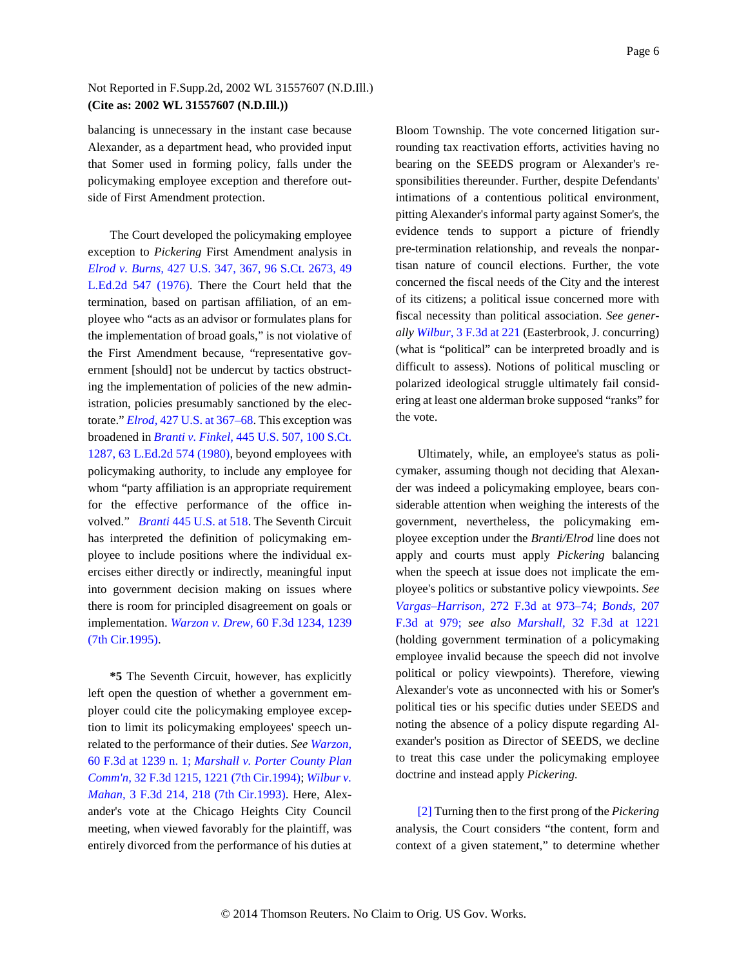balancing is unnecessary in the instant case because Alexander, as a department head, who provided input that Somer used in forming policy, falls under the policymaking employee exception and therefore outside of First Amendment protection.

The Court developed the policymaking employee exception to *Pickering* First Amendment analysis in *Elrod v. Burns,* 427 U.S. 347, 367, 96 S.Ct. 2673, 49 L.Ed.2d 547 (1976). There the Court held that the termination, based on partisan affiliation, of an employee who "acts as an advisor or formulates plans for the implementation of broad goals," is not violative of the First Amendment because, "representative government [should] not be undercut by tactics obstructing the implementation of policies of the new administration, policies presumably sanctioned by the electorate." *Elrod,* 427 U.S. at 367–68. This exception was broadened in *Branti v. Finkel,* 445 U.S. 507, 100 S.Ct. 1287, 63 L.Ed.2d 574 (1980), beyond employees with policymaking authority, to include any employee for whom "party affiliation is an appropriate requirement for the effective performance of the office involved." *Branti* 445 U.S. at 518. The Seventh Circuit has interpreted the definition of policymaking employee to include positions where the individual exercises either directly or indirectly, meaningful input into government decision making on issues where there is room for principled disagreement on goals or implementation. *Warzon v. Drew,* 60 F.3d 1234, 1239 (7th Cir.1995).

**\*5** The Seventh Circuit, however, has explicitly left open the question of whether a government employer could cite the policymaking employee exception to limit its policymaking employees' speech unrelated to the performance of their duties. *See Warzon,* 60 F.3d at 1239 n. 1; *Marshall v. Porter County Plan Comm'n,* 32 F.3d 1215, 1221 (7th Cir.1994); *Wilbur v. Mahan,* 3 F.3d 214, 218 (7th Cir.1993). Here, Alexander's vote at the Chicago Heights City Council meeting, when viewed favorably for the plaintiff, was entirely divorced from the performance of his duties at

Bloom Township. The vote concerned litigation surrounding tax reactivation efforts, activities having no bearing on the SEEDS program or Alexander's responsibilities thereunder. Further, despite Defendants' intimations of a contentious political environment, pitting Alexander's informal party against Somer's, the evidence tends to support a picture of friendly pre-termination relationship, and reveals the nonpartisan nature of council elections. Further, the vote concerned the fiscal needs of the City and the interest of its citizens; a political issue concerned more with fiscal necessity than political association. *See generally Wilbur,* 3 F.3d at 221 (Easterbrook, J. concurring) (what is "political" can be interpreted broadly and is difficult to assess). Notions of political muscling or polarized ideological struggle ultimately fail considering at least one alderman broke supposed "ranks" for the vote.

Ultimately, while, an employee's status as policymaker, assuming though not deciding that Alexander was indeed a policymaking employee, bears considerable attention when weighing the interests of the government, nevertheless, the policymaking employee exception under the *Branti/Elrod* line does not apply and courts must apply *Pickering* balancing when the speech at issue does not implicate the employee's politics or substantive policy viewpoints. *See Vargas–Harrison,* 272 F.3d at 973–74; *Bonds,* 207 F.3d at 979; *see also Marshall,* 32 F.3d at 1221 (holding government termination of a policymaking employee invalid because the speech did not involve political or policy viewpoints). Therefore, viewing Alexander's vote as unconnected with his or Somer's political ties or his specific duties under SEEDS and noting the absence of a policy dispute regarding Alexander's position as Director of SEEDS, we decline to treat this case under the policymaking employee doctrine and instead apply *Pickering.*

<span id="page-5-0"></span>[\[2\]](#page-0-1) Turning then to the first prong of the *Pickering* analysis, the Court considers "the content, form and context of a given statement," to determine whether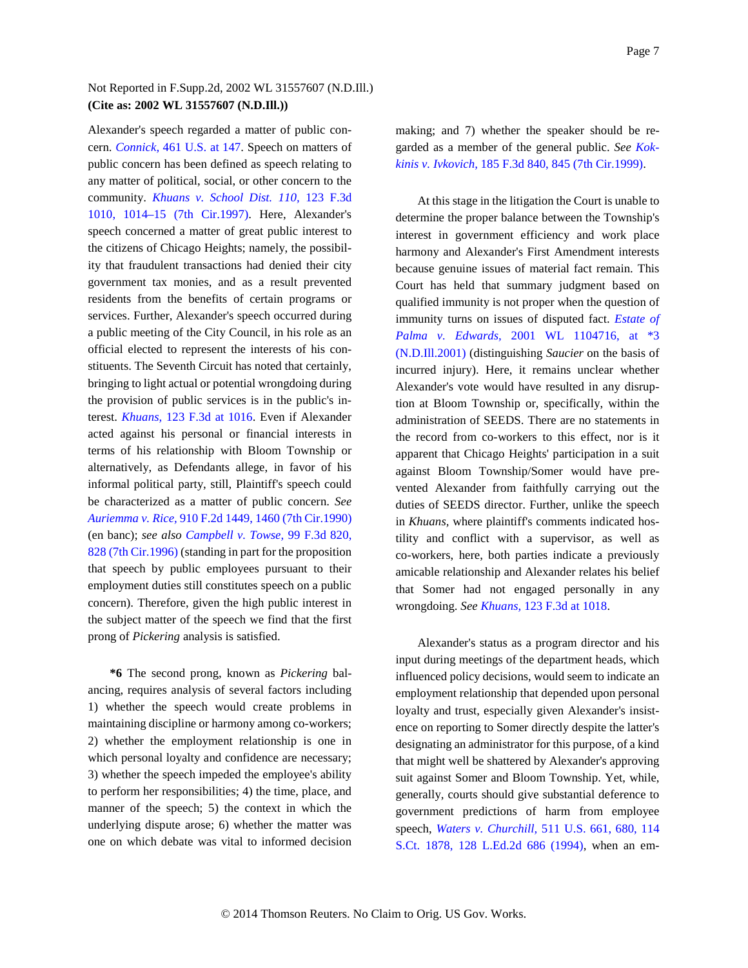Alexander's speech regarded a matter of public concern. *Connick,* 461 U.S. at 147. Speech on matters of public concern has been defined as speech relating to any matter of political, social, or other concern to the community. *Khuans v. School Dist. 110,* 123 F.3d 1010, 1014–15 (7th Cir.1997). Here, Alexander's speech concerned a matter of great public interest to the citizens of Chicago Heights; namely, the possibility that fraudulent transactions had denied their city government tax monies, and as a result prevented residents from the benefits of certain programs or services. Further, Alexander's speech occurred during a public meeting of the City Council, in his role as an official elected to represent the interests of his constituents. The Seventh Circuit has noted that certainly, bringing to light actual or potential wrongdoing during the provision of public services is in the public's interest. *Khuans,* 123 F.3d at 1016. Even if Alexander acted against his personal or financial interests in terms of his relationship with Bloom Township or alternatively, as Defendants allege, in favor of his informal political party, still, Plaintiff's speech could be characterized as a matter of public concern. *See Auriemma v. Rice,* 910 F.2d 1449, 1460 (7th Cir.1990) (en banc); *see also Campbell v. Towse,* 99 F.3d 820, 828 (7th Cir.1996) (standing in part for the proposition that speech by public employees pursuant to their employment duties still constitutes speech on a public concern). Therefore, given the high public interest in the subject matter of the speech we find that the first prong of *Pickering* analysis is satisfied.

**\*6** The second prong, known as *Pickering* balancing, requires analysis of several factors including 1) whether the speech would create problems in maintaining discipline or harmony among co-workers; 2) whether the employment relationship is one in which personal loyalty and confidence are necessary; 3) whether the speech impeded the employee's ability to perform her responsibilities; 4) the time, place, and manner of the speech; 5) the context in which the underlying dispute arose; 6) whether the matter was one on which debate was vital to informed decision making; and 7) whether the speaker should be regarded as a member of the general public. *See Kokkinis v. Ivkovich,* 185 F.3d 840, 845 (7th Cir.1999).

At this stage in the litigation the Court is unable to determine the proper balance between the Township's interest in government efficiency and work place harmony and Alexander's First Amendment interests because genuine issues of material fact remain. This Court has held that summary judgment based on qualified immunity is not proper when the question of immunity turns on issues of disputed fact. *Estate of Palma v. Edwards,* 2001 WL 1104716, at \*3 (N.D.Ill.2001) (distinguishing *Saucier* on the basis of incurred injury). Here, it remains unclear whether Alexander's vote would have resulted in any disruption at Bloom Township or, specifically, within the administration of SEEDS. There are no statements in the record from co-workers to this effect, nor is it apparent that Chicago Heights' participation in a suit against Bloom Township/Somer would have prevented Alexander from faithfully carrying out the duties of SEEDS director. Further, unlike the speech in *Khuans,* where plaintiff's comments indicated hostility and conflict with a supervisor, as well as co-workers, here, both parties indicate a previously amicable relationship and Alexander relates his belief that Somer had not engaged personally in any wrongdoing. *See Khuans,* 123 F.3d at 1018.

Alexander's status as a program director and his input during meetings of the department heads, which influenced policy decisions, would seem to indicate an employment relationship that depended upon personal loyalty and trust, especially given Alexander's insistence on reporting to Somer directly despite the latter's designating an administrator for this purpose, of a kind that might well be shattered by Alexander's approving suit against Somer and Bloom Township. Yet, while, generally, courts should give substantial deference to government predictions of harm from employee speech, *Waters v. Churchill,* 511 U.S. 661, 680, 114 S.Ct. 1878, 128 L.Ed.2d 686 (1994), when an em-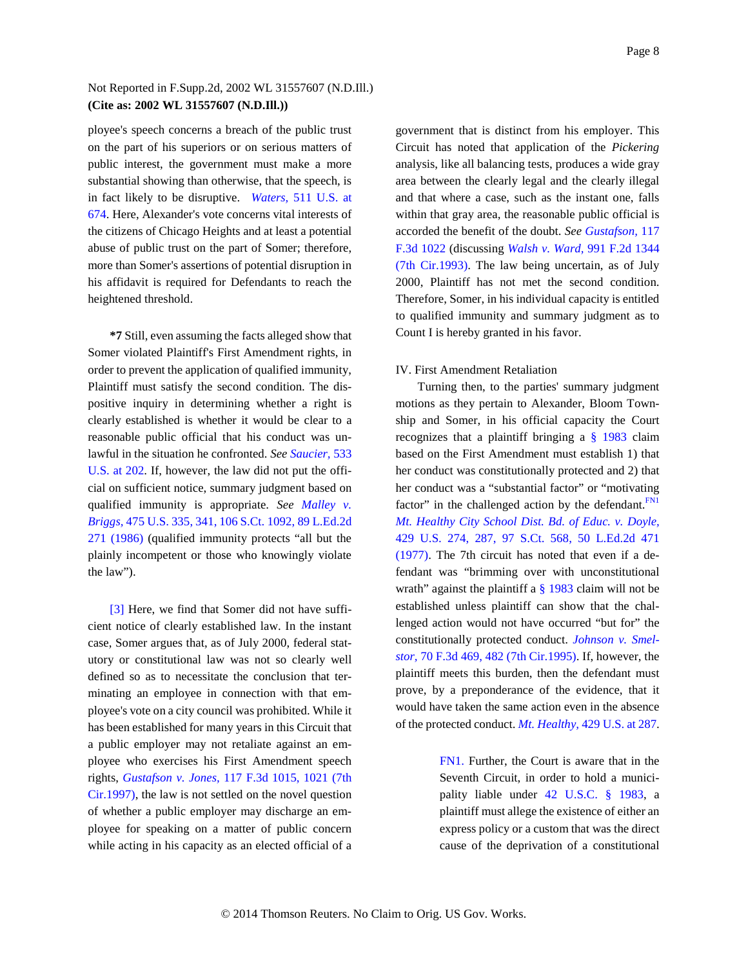ployee's speech concerns a breach of the public trust on the part of his superiors or on serious matters of public interest, the government must make a more substantial showing than otherwise, that the speech, is in fact likely to be disruptive. *Waters,* 511 U.S. at 674. Here, Alexander's vote concerns vital interests of the citizens of Chicago Heights and at least a potential abuse of public trust on the part of Somer; therefore, more than Somer's assertions of potential disruption in his affidavit is required for Defendants to reach the heightened threshold.

**\*7** Still, even assuming the facts alleged show that Somer violated Plaintiff's First Amendment rights, in order to prevent the application of qualified immunity, Plaintiff must satisfy the second condition. The dispositive inquiry in determining whether a right is clearly established is whether it would be clear to a reasonable public official that his conduct was unlawful in the situation he confronted. *See Saucier,* 533 U.S. at 202. If, however, the law did not put the official on sufficient notice, summary judgment based on qualified immunity is appropriate. *See Malley v. Briggs,* 475 U.S. 335, 341, 106 S.Ct. 1092, 89 L.Ed.2d 271 (1986) (qualified immunity protects "all but the plainly incompetent or those who knowingly violate the law").

<span id="page-7-0"></span>[\[3\]](#page-1-0) Here, we find that Somer did not have sufficient notice of clearly established law. In the instant case, Somer argues that, as of July 2000, federal statutory or constitutional law was not so clearly well defined so as to necessitate the conclusion that terminating an employee in connection with that employee's vote on a city council was prohibited. While it has been established for many years in this Circuit that a public employer may not retaliate against an employee who exercises his First Amendment speech rights, *Gustafson v. Jones,* 117 F.3d 1015, 1021 (7th Cir.1997), the law is not settled on the novel question of whether a public employer may discharge an employee for speaking on a matter of public concern while acting in his capacity as an elected official of a

government that is distinct from his employer. This Circuit has noted that application of the *Pickering* analysis, like all balancing tests, produces a wide gray area between the clearly legal and the clearly illegal and that where a case, such as the instant one, falls within that gray area, the reasonable public official is accorded the benefit of the doubt. *See Gustafson,* 117 F.3d 1022 (discussing *Walsh v. Ward,* 991 F.2d 1344 (7th Cir.1993). The law being uncertain, as of July 2000, Plaintiff has not met the second condition. Therefore, Somer, in his individual capacity is entitled to qualified immunity and summary judgment as to Count I is hereby granted in his favor.

#### IV. First Amendment Retaliation

<span id="page-7-2"></span>Turning then, to the parties' summary judgment motions as they pertain to Alexander, Bloom Township and Somer, in his official capacity the Court recognizes that a plaintiff bringing a  $\S$  1983 claim based on the First Amendment must establish 1) that her conduct was constitutionally protected and 2) that her conduct was a "substantial factor" or "motivating factor" in the challenged action by the defendant. $F<sup>N1</sup>$ *Mt. Healthy City School Dist. Bd. of Educ. v. Doyle,* 429 U.S. 274, 287, 97 S.Ct. 568, 50 L.Ed.2d 471 (1977). The 7th circuit has noted that even if a defendant was "brimming over with unconstitutional wrath" against the plaintiff a  $\S$  1983 claim will not be established unless plaintiff can show that the challenged action would not have occurred "but for" the constitutionally protected conduct. *Johnson v. Smelstor,* 70 F.3d 469, 482 (7th Cir.1995). If, however, the plaintiff meets this burden, then the defendant must prove, by a preponderance of the evidence, that it would have taken the same action even in the absence of the protected conduct. *Mt. Healthy,* 429 U.S. at 287.

> <span id="page-7-1"></span>[FN1.](#page-7-2) Further, the Court is aware that in the Seventh Circuit, in order to hold a municipality liable under 42 U.S.C. § 1983, a plaintiff must allege the existence of either an express policy or a custom that was the direct cause of the deprivation of a constitutional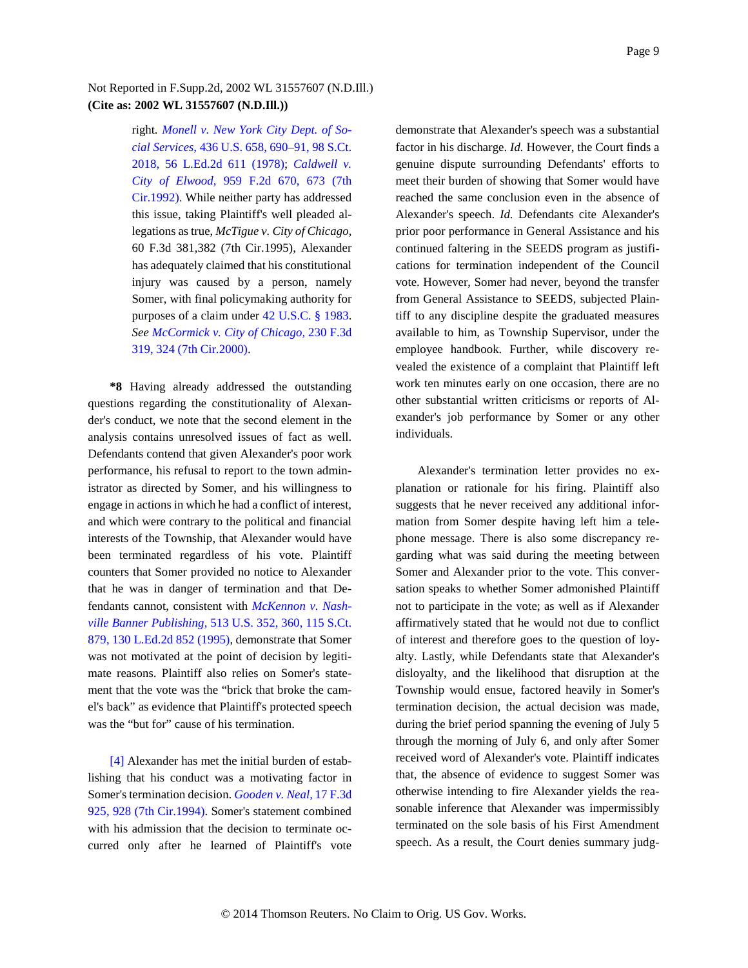right. *Monell v. New York City Dept. of Social Services,* 436 U.S. 658, 690–91, 98 S.Ct. 2018, 56 L.Ed.2d 611 (1978); *Caldwell v. City of Elwood,* 959 F.2d 670, 673 (7th Cir.1992). While neither party has addressed this issue, taking Plaintiff's well pleaded allegations as true, *McTigue v. City of Chicago,* 60 F.3d 381,382 (7th Cir.1995), Alexander has adequately claimed that his constitutional injury was caused by a person, namely Somer, with final policymaking authority for purposes of a claim under 42 U.S.C. § 1983. *See McCormick v. City of Chicago,* 230 F.3d 319, 324 (7th Cir.2000).

**\*8** Having already addressed the outstanding questions regarding the constitutionality of Alexander's conduct, we note that the second element in the analysis contains unresolved issues of fact as well. Defendants contend that given Alexander's poor work performance, his refusal to report to the town administrator as directed by Somer, and his willingness to engage in actions in which he had a conflict of interest, and which were contrary to the political and financial interests of the Township, that Alexander would have been terminated regardless of his vote. Plaintiff counters that Somer provided no notice to Alexander that he was in danger of termination and that Defendants cannot, consistent with *McKennon v. Nashville Banner Publishing,* 513 U.S. 352, 360, 115 S.Ct. 879, 130 L.Ed.2d 852 (1995), demonstrate that Somer was not motivated at the point of decision by legitimate reasons. Plaintiff also relies on Somer's statement that the vote was the "brick that broke the camel's back" as evidence that Plaintiff's protected speech was the "but for" cause of his termination.

<span id="page-8-0"></span>[\[4\]](#page-1-1) Alexander has met the initial burden of establishing that his conduct was a motivating factor in Somer's termination decision. *Gooden v. Neal,* 17 F.3d 925, 928 (7th Cir.1994). Somer's statement combined with his admission that the decision to terminate occurred only after he learned of Plaintiff's vote

demonstrate that Alexander's speech was a substantial factor in his discharge. *Id.* However, the Court finds a genuine dispute surrounding Defendants' efforts to meet their burden of showing that Somer would have reached the same conclusion even in the absence of Alexander's speech. *Id.* Defendants cite Alexander's prior poor performance in General Assistance and his continued faltering in the SEEDS program as justifications for termination independent of the Council vote. However, Somer had never, beyond the transfer from General Assistance to SEEDS, subjected Plaintiff to any discipline despite the graduated measures available to him, as Township Supervisor, under the employee handbook. Further, while discovery revealed the existence of a complaint that Plaintiff left work ten minutes early on one occasion, there are no other substantial written criticisms or reports of Alexander's job performance by Somer or any other individuals.

Alexander's termination letter provides no explanation or rationale for his firing. Plaintiff also suggests that he never received any additional information from Somer despite having left him a telephone message. There is also some discrepancy regarding what was said during the meeting between Somer and Alexander prior to the vote. This conversation speaks to whether Somer admonished Plaintiff not to participate in the vote; as well as if Alexander affirmatively stated that he would not due to conflict of interest and therefore goes to the question of loyalty. Lastly, while Defendants state that Alexander's disloyalty, and the likelihood that disruption at the Township would ensue, factored heavily in Somer's termination decision, the actual decision was made, during the brief period spanning the evening of July 5 through the morning of July 6, and only after Somer received word of Alexander's vote. Plaintiff indicates that, the absence of evidence to suggest Somer was otherwise intending to fire Alexander yields the reasonable inference that Alexander was impermissibly terminated on the sole basis of his First Amendment speech. As a result, the Court denies summary judg-